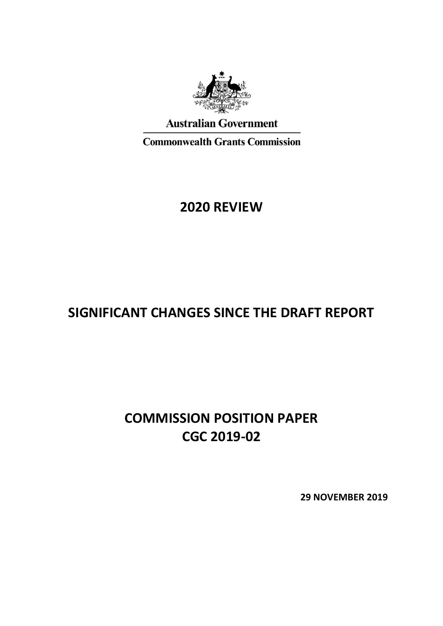

**Australian Government** 

**Commonwealth Grants Commission** 

# **2020 REVIEW**

# **SIGNIFICANT CHANGES SINCE THE DRAFT REPORT**

# **COMMISSION POSITION PAPER CGC 2019-02**

**29 NOVEMBER 2019**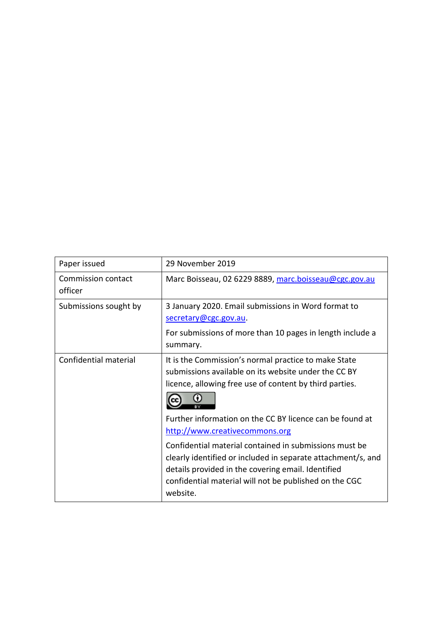| Paper issued                  | 29 November 2019                                                                                                                                                                                                                                                                                                                                                                                                                                                                                                            |
|-------------------------------|-----------------------------------------------------------------------------------------------------------------------------------------------------------------------------------------------------------------------------------------------------------------------------------------------------------------------------------------------------------------------------------------------------------------------------------------------------------------------------------------------------------------------------|
| Commission contact<br>officer | Marc Boisseau, 02 6229 8889, marc.boisseau@cgc.gov.au                                                                                                                                                                                                                                                                                                                                                                                                                                                                       |
| Submissions sought by         | 3 January 2020. Email submissions in Word format to<br>secretary@cgc.gov.au.<br>For submissions of more than 10 pages in length include a<br>summary.                                                                                                                                                                                                                                                                                                                                                                       |
| Confidential material         | It is the Commission's normal practice to make State<br>submissions available on its website under the CC BY<br>licence, allowing free use of content by third parties.<br>Further information on the CC BY licence can be found at<br>http://www.creativecommons.org<br>Confidential material contained in submissions must be<br>clearly identified or included in separate attachment/s, and<br>details provided in the covering email. Identified<br>confidential material will not be published on the CGC<br>website. |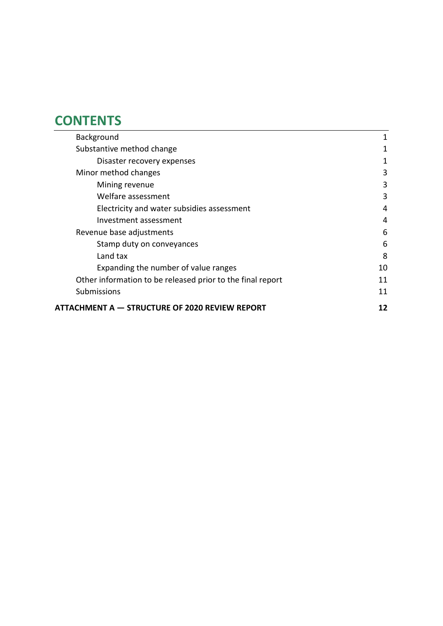# **CONTENTS**

| Background                                                 | 1  |
|------------------------------------------------------------|----|
| Substantive method change                                  | 1  |
| Disaster recovery expenses                                 | 1  |
| Minor method changes                                       | 3  |
| Mining revenue                                             | 3  |
| Welfare assessment                                         | 3  |
| Electricity and water subsidies assessment                 | 4  |
| Investment assessment                                      | 4  |
| Revenue base adjustments                                   | 6  |
| Stamp duty on conveyances                                  | 6  |
| Land tax                                                   | 8  |
| Expanding the number of value ranges                       | 10 |
| Other information to be released prior to the final report | 11 |
| <b>Submissions</b>                                         | 11 |
| ATTACHMENT A — STRUCTURE OF 2020 REVIEW REPORT             | 12 |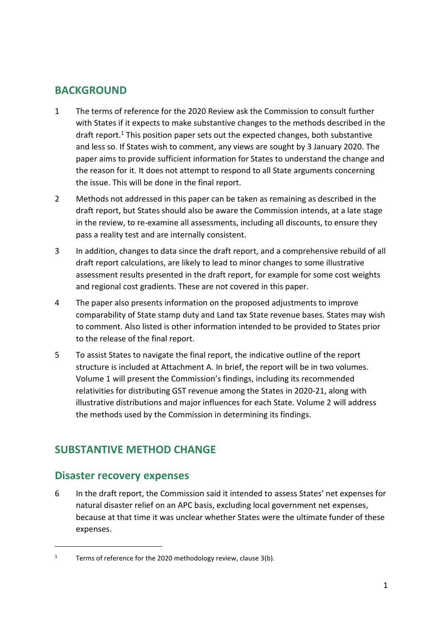# <span id="page-3-0"></span>**BACKGROUND**

- 1 The terms of reference for the 2020 Review ask the Commission to consult further with States if it expects to make substantive changes to the methods described in the draft report.<sup>1</sup> This position paper sets out the expected changes, both substantive and less so. If States wish to comment, any views are sought by 3 January 2020. The paper aims to provide sufficient information for States to understand the change and the reason for it. It does not attempt to respond to all State arguments concerning the issue. This will be done in the final report.
- 2 Methods not addressed in this paper can be taken as remaining as described in the draft report, but States should also be aware the Commission intends, at a late stage in the review, to re-examine all assessments, including all discounts, to ensure they pass a reality test and are internally consistent.
- 3 In addition, changes to data since the draft report, and a comprehensive rebuild of all draft report calculations, are likely to lead to minor changes to some illustrative assessment results presented in the draft report, for example for some cost weights and regional cost gradients. These are not covered in this paper.
- 4 The paper also presents information on the proposed adjustments to improve comparability of State stamp duty and Land tax State revenue bases. States may wish to comment. Also listed is other information intended to be provided to States prior to the release of the final report.
- 5 To assist States to navigate the final report, the indicative outline of the report structure is included at Attachment A. In brief, the report will be in two volumes. Volume 1 will present the Commission's findings, including its recommended relativities for distributing GST revenue among the States in 2020-21, along with illustrative distributions and major influences for each State. Volume 2 will address the methods used by the Commission in determining its findings.

# <span id="page-3-1"></span>**SUBSTANTIVE METHOD CHANGE**

# <span id="page-3-2"></span>**Disaster recovery expenses**

 $\overline{a}$ 

6 In the draft report, the Commission said it intended to assess States' net expenses for natural disaster relief on an APC basis, excluding local government net expenses, because at that time it was unclear whether States were the ultimate funder of these expenses.

<sup>&</sup>lt;sup>1</sup> Terms of reference for the 2020 methodology review, clause  $3(b)$ .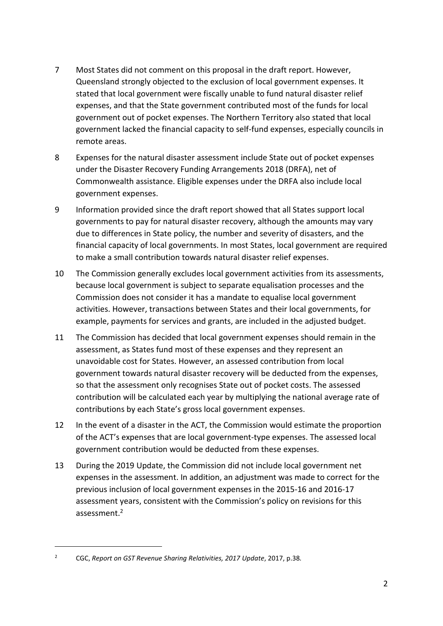- 7 Most States did not comment on this proposal in the draft report. However, Queensland strongly objected to the exclusion of local government expenses. It stated that local government were fiscally unable to fund natural disaster relief expenses, and that the State government contributed most of the funds for local government out of pocket expenses. The Northern Territory also stated that local government lacked the financial capacity to self-fund expenses, especially councils in remote areas.
- 8 Expenses for the natural disaster assessment include State out of pocket expenses under the Disaster Recovery Funding Arrangements 2018 (DRFA), net of Commonwealth assistance. Eligible expenses under the DRFA also include local government expenses.
- 9 Information provided since the draft report showed that all States support local governments to pay for natural disaster recovery, although the amounts may vary due to differences in State policy, the number and severity of disasters, and the financial capacity of local governments. In most States, local government are required to make a small contribution towards natural disaster relief expenses.
- 10 The Commission generally excludes local government activities from its assessments, because local government is subject to separate equalisation processes and the Commission does not consider it has a mandate to equalise local government activities. However, transactions between States and their local governments, for example, payments for services and grants, are included in the adjusted budget.
- 11 The Commission has decided that local government expenses should remain in the assessment, as States fund most of these expenses and they represent an unavoidable cost for States. However, an assessed contribution from local government towards natural disaster recovery will be deducted from the expenses, so that the assessment only recognises State out of pocket costs. The assessed contribution will be calculated each year by multiplying the national average rate of contributions by each State's gross local government expenses.
- 12 In the event of a disaster in the ACT, the Commission would estimate the proportion of the ACT's expenses that are local government-type expenses. The assessed local government contribution would be deducted from these expenses.
- 13 During the 2019 Update, the Commission did not include local government net expenses in the assessment. In addition, an adjustment was made to correct for the previous inclusion of local government expenses in the 2015-16 and 2016-17 assessment years, consistent with the Commission's policy on revisions for this assessment. 2

 $\overline{a}$ 

<sup>2</sup> CGC, *Report on GST Revenue Sharing Relativities, 2017 Update*, 2017, p.38*.*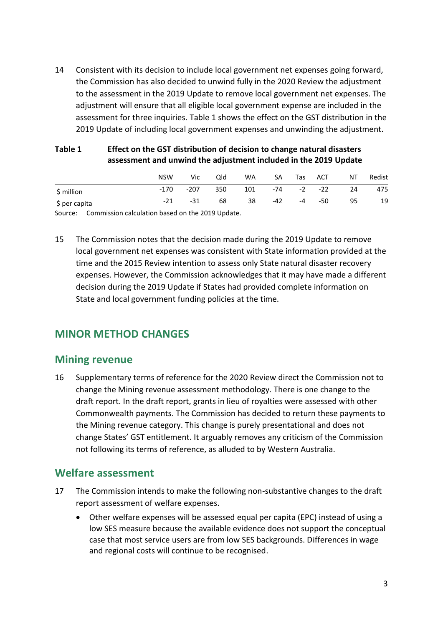14 Consistent with its decision to include local government net expenses going forward, the Commission has also decided to unwind fully in the 2020 Review the adjustment to the assessment in the 2019 Update to remove local government net expenses. The adjustment will ensure that all eligible local government expense are included in the assessment for three inquiries. [Table 1](#page-5-3) shows the effect on the GST distribution in the 2019 Update of including local government expenses and unwinding the adjustment.

|               | assessment and unwind the adjustment included in the 2019 Update |        |     |     |     |                  |            |    |        |
|---------------|------------------------------------------------------------------|--------|-----|-----|-----|------------------|------------|----|--------|
|               | <b>NSW</b>                                                       | Vic    | Qld | WA  | SA  | Tas              | <b>ACT</b> | ΝT | Redist |
| \$ million    | -170                                                             | $-207$ | 350 | 101 |     | $-74$ $-2$ $-22$ |            | 24 | 475    |
| \$ per capita | -21                                                              | -31    | 68  | 38  | -42 | $-4$             | -50        | 95 | 19     |

### <span id="page-5-3"></span>**Table 1 Effect on the GST distribution of decision to change natural disasters assessment and unwind the adjustment included in the 2019 Update**

Source: Commission calculation based on the 2019 Update.

15 The Commission notes that the decision made during the 2019 Update to remove local government net expenses was consistent with State information provided at the time and the 2015 Review intention to assess only State natural disaster recovery expenses. However, the Commission acknowledges that it may have made a different decision during the 2019 Update if States had provided complete information on State and local government funding policies at the time.

# <span id="page-5-0"></span>**MINOR METHOD CHANGES**

# <span id="page-5-1"></span>**Mining revenue**

16 Supplementary terms of reference for the 2020 Review direct the Commission not to change the Mining revenue assessment methodology. There is one change to the draft report. In the draft report, grants in lieu of royalties were assessed with other Commonwealth payments. The Commission has decided to return these payments to the Mining revenue category. This change is purely presentational and does not change States' GST entitlement. It arguably removes any criticism of the Commission not following its terms of reference, as alluded to by Western Australia.

# <span id="page-5-2"></span>**Welfare assessment**

- 17 The Commission intends to make the following non-substantive changes to the draft report assessment of welfare expenses.
	- Other welfare expenses will be assessed equal per capita (EPC) instead of using a low SES measure because the available evidence does not support the conceptual case that most service users are from low SES backgrounds. Differences in wage and regional costs will continue to be recognised.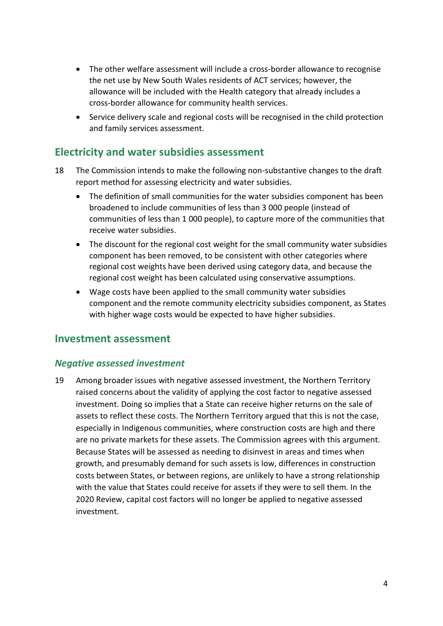- The other welfare assessment will include a cross-border allowance to recognise the net use by New South Wales residents of ACT services; however, the allowance will be included with the Health category that already includes a cross-border allowance for community health services.
- Service delivery scale and regional costs will be recognised in the child protection and family services assessment.

# <span id="page-6-0"></span>**Electricity and water subsidies assessment**

- 18 The Commission intends to make the following non-substantive changes to the draft report method for assessing electricity and water subsidies.
	- The definition of small communities for the water subsidies component has been broadened to include communities of less than 3 000 people (instead of communities of less than 1 000 people), to capture more of the communities that receive water subsidies.
	- The discount for the regional cost weight for the small community water subsidies component has been removed, to be consistent with other categories where regional cost weights have been derived using category data, and because the regional cost weight has been calculated using conservative assumptions.
	- Wage costs have been applied to the small community water subsidies component and the remote community electricity subsidies component, as States with higher wage costs would be expected to have higher subsidies.

# <span id="page-6-1"></span>**Investment assessment**

## *Negative assessed investment*

19 Among broader issues with negative assessed investment, the Northern Territory raised concerns about the validity of applying the cost factor to negative assessed investment. Doing so implies that a State can receive higher returns on the sale of assets to reflect these costs. The Northern Territory argued that this is not the case, especially in Indigenous communities, where construction costs are high and there are no private markets for these assets. The Commission agrees with this argument. Because States will be assessed as needing to disinvest in areas and times when growth, and presumably demand for such assets is low, differences in construction costs between States, or between regions, are unlikely to have a strong relationship with the value that States could receive for assets if they were to sell them. In the 2020 Review, capital cost factors will no longer be applied to negative assessed investment.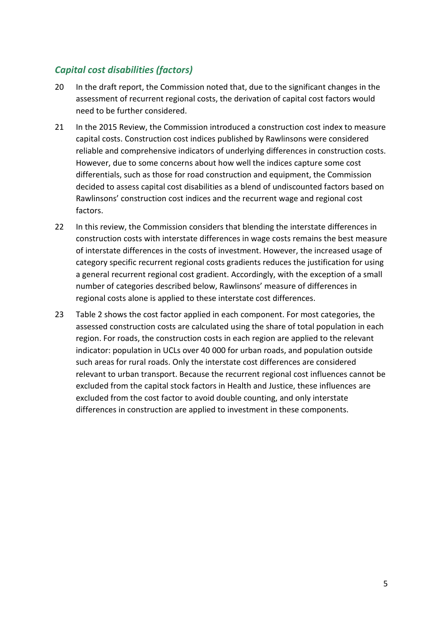# *Capital cost disabilities (factors)*

- 20 In the draft report, the Commission noted that, due to the significant changes in the assessment of recurrent regional costs, the derivation of capital cost factors would need to be further considered.
- 21 In the 2015 Review, the Commission introduced a construction cost index to measure capital costs. Construction cost indices published by Rawlinsons were considered reliable and comprehensive indicators of underlying differences in construction costs. However, due to some concerns about how well the indices capture some cost differentials, such as those for road construction and equipment, the Commission decided to assess capital cost disabilities as a blend of undiscounted factors based on Rawlinsons' construction cost indices and the recurrent wage and regional cost factors.
- 22 In this review, the Commission considers that blending the interstate differences in construction costs with interstate differences in wage costs remains the best measure of interstate differences in the costs of investment. However, the increased usage of category specific recurrent regional costs gradients reduces the justification for using a general recurrent regional cost gradient. Accordingly, with the exception of a small number of categories described below, Rawlinsons' measure of differences in regional costs alone is applied to these interstate cost differences.
- 23 [Table 2](#page-8-2) shows the cost factor applied in each component. For most categories, the assessed construction costs are calculated using the share of total population in each region. For roads, the construction costs in each region are applied to the relevant indicator: population in UCLs over 40 000 for urban roads, and population outside such areas for rural roads. Only the interstate cost differences are considered relevant to urban transport. Because the recurrent regional cost influences cannot be excluded from the capital stock factors in Health and Justice, these influences are excluded from the cost factor to avoid double counting, and only interstate differences in construction are applied to investment in these components.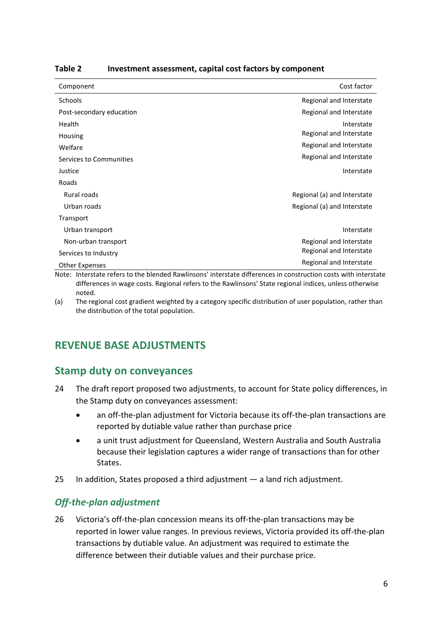| Component                                                 | Cost factor                 |
|-----------------------------------------------------------|-----------------------------|
| Schools                                                   | Regional and Interstate     |
| Post-secondary education                                  | Regional and Interstate     |
| Health                                                    | Interstate                  |
| Housing                                                   | Regional and Interstate     |
| Welfare                                                   | Regional and Interstate     |
| Services to Communities                                   | Regional and Interstate     |
| Justice                                                   | Interstate                  |
| Roads                                                     |                             |
| Rural roads                                               | Regional (a) and Interstate |
| Urban roads                                               | Regional (a) and Interstate |
| Transport                                                 |                             |
| Urban transport                                           | Interstate                  |
| Non-urban transport                                       | Regional and Interstate     |
| Services to Industry                                      | Regional and Interstate     |
| <b>Other Expenses</b><br>$\sim$ $\sim$ $\sim$<br>$\cdots$ | Regional and Interstate     |

<span id="page-8-2"></span>**Table 2 Investment assessment, capital cost factors by component**

Note: Interstate refers to the blended Rawlinsons' interstate differences in construction costs with interstate differences in wage costs. Regional refers to the Rawlinsons' State regional indices, unless otherwise noted.

<span id="page-8-0"></span>(a) The regional cost gradient weighted by a category specific distribution of user population, rather than the distribution of the total population.

# **REVENUE BASE ADJUSTMENTS**

# <span id="page-8-1"></span>**Stamp duty on conveyances**

- 24 The draft report proposed two adjustments, to account for State policy differences, in the Stamp duty on conveyances assessment:
	- an off-the-plan adjustment for Victoria because its off-the-plan transactions are reported by dutiable value rather than purchase price
	- a unit trust adjustment for Queensland, Western Australia and South Australia because their legislation captures a wider range of transactions than for other States.
- 25 In addition, States proposed a third adjustment a land rich adjustment.

# *Off-the-plan adjustment*

26 Victoria's off-the-plan concession means its off-the-plan transactions may be reported in lower value ranges. In previous reviews, Victoria provided its off-the-plan transactions by dutiable value. An adjustment was required to estimate the difference between their dutiable values and their purchase price.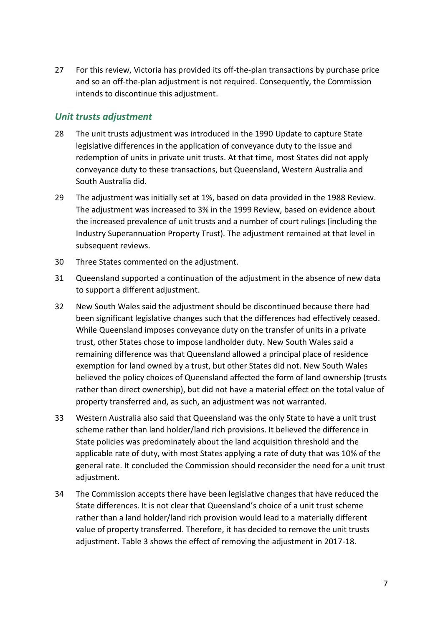27 For this review, Victoria has provided its off-the-plan transactions by purchase price and so an off-the-plan adjustment is not required. Consequently, the Commission intends to discontinue this adjustment.

## *Unit trusts adjustment*

- 28 The unit trusts adjustment was introduced in the 1990 Update to capture State legislative differences in the application of conveyance duty to the issue and redemption of units in private unit trusts. At that time, most States did not apply conveyance duty to these transactions, but Queensland, Western Australia and South Australia did.
- 29 The adjustment was initially set at 1%, based on data provided in the 1988 Review. The adjustment was increased to 3% in the 1999 Review, based on evidence about the increased prevalence of unit trusts and a number of court rulings (including the Industry Superannuation Property Trust). The adjustment remained at that level in subsequent reviews.
- 30 Three States commented on the adjustment.
- 31 Queensland supported a continuation of the adjustment in the absence of new data to support a different adjustment.
- 32 New South Wales said the adjustment should be discontinued because there had been significant legislative changes such that the differences had effectively ceased. While Queensland imposes conveyance duty on the transfer of units in a private trust, other States chose to impose landholder duty. New South Wales said a remaining difference was that Queensland allowed a principal place of residence exemption for land owned by a trust, but other States did not. New South Wales believed the policy choices of Queensland affected the form of land ownership (trusts rather than direct ownership), but did not have a material effect on the total value of property transferred and, as such, an adjustment was not warranted.
- 33 Western Australia also said that Queensland was the only State to have a unit trust scheme rather than land holder/land rich provisions. It believed the difference in State policies was predominately about the land acquisition threshold and the applicable rate of duty, with most States applying a rate of duty that was 10% of the general rate. It concluded the Commission should reconsider the need for a unit trust adjustment.
- 34 The Commission accepts there have been legislative changes that have reduced the State differences. It is not clear that Queensland's choice of a unit trust scheme rather than a land holder/land rich provision would lead to a materially different value of property transferred. Therefore, it has decided to remove the unit trusts adjustment. [Table 3](#page-10-1) shows the effect of removing the adjustment in 2017-18.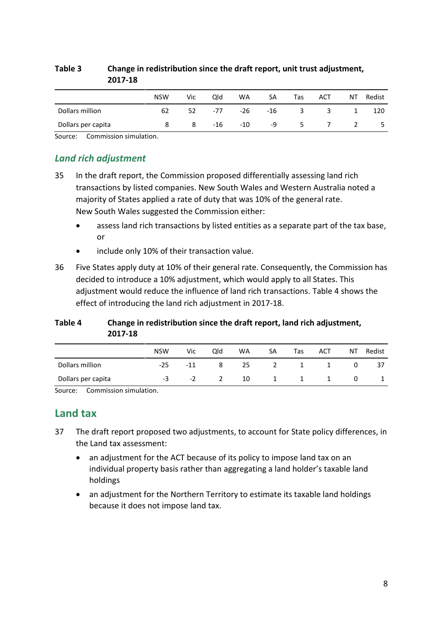| 2017-18            |            |     |       |       |     |                         |                         |                |        |
|--------------------|------------|-----|-------|-------|-----|-------------------------|-------------------------|----------------|--------|
|                    | <b>NSW</b> | Vic | Qld   | WA    | SA  | Tas                     | <b>ACT</b>              | NT             | Redist |
| Dollars million    | 62         | 52  | -77   | -26   | -16 | $\overline{\mathbf{3}}$ | $\overline{\mathbf{3}}$ | 1              | 120    |
| Dollars per capita |            | 8   | $-16$ | $-10$ | -9  | 5.                      | $\overline{7}$          | $\overline{2}$ | -5     |

### <span id="page-10-1"></span>**Table 3 Change in redistribution since the draft report, unit trust adjustment, 2017-18**

Source: Commission simulation.

## *Land rich adjustment*

- 35 In the draft report, the Commission proposed differentially assessing land rich transactions by listed companies. New South Wales and Western Australia noted a majority of States applied a rate of duty that was 10% of the general rate. New South Wales suggested the Commission either:
	- assess land rich transactions by listed entities as a separate part of the tax base, or
	- include only 10% of their transaction value.
- 36 Five States apply duty at 10% of their general rate. Consequently, the Commission has decided to introduce a 10% adjustment, which would apply to all States. This adjustment would reduce the influence of land rich transactions. [Table 4](#page-10-2) shows the effect of introducing the land rich adjustment in 2017-18.

### <span id="page-10-2"></span>**Table 4 Change in redistribution since the draft report, land rich adjustment, 2017-18**

|                    | <b>NSW</b> | Vic       | Old            | WA | SA | Tas      | ACT | ΝT | Redist |
|--------------------|------------|-----------|----------------|----|----|----------|-----|----|--------|
| Dollars million    | $-25$      | $-11$     | 8 -            |    |    | 25 2 1 1 |     | 0  | 37     |
| Dollars per capita | -3         | $-2$ $-2$ | $\overline{2}$ |    |    | 10 1 1 1 |     | 0  |        |

<span id="page-10-0"></span>Source: Commission simulation.

# **Land tax**

- 37 The draft report proposed two adjustments, to account for State policy differences, in the Land tax assessment:
	- an adjustment for the ACT because of its policy to impose land tax on an individual property basis rather than aggregating a land holder's taxable land holdings
	- an adjustment for the Northern Territory to estimate its taxable land holdings because it does not impose land tax.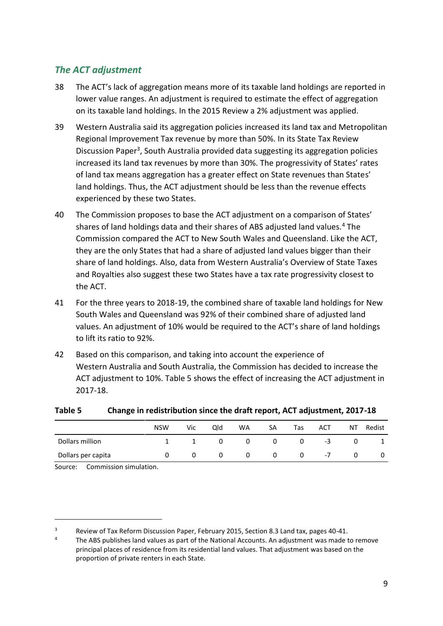# *The ACT adjustment*

- 38 The ACT's lack of aggregation means more of its taxable land holdings are reported in lower value ranges. An adjustment is required to estimate the effect of aggregation on its taxable land holdings. In the 2015 Review a 2% adjustment was applied.
- 39 Western Australia said its aggregation policies increased its land tax and Metropolitan Regional Improvement Tax revenue by more than 50%. In its State Tax Review Discussion Paper<sup>3</sup>, South Australia provided data suggesting its aggregation policies increased its land tax revenues by more than 30%. The progressivity of States' rates of land tax means aggregation has a greater effect on State revenues than States' land holdings. Thus, the ACT adjustment should be less than the revenue effects experienced by these two States.
- 40 The Commission proposes to base the ACT adjustment on a comparison of States' shares of land holdings data and their shares of ABS adjusted land values.<sup>4</sup> The Commission compared the ACT to New South Wales and Queensland. Like the ACT, they are the only States that had a share of adjusted land values bigger than their share of land holdings. Also, data from Western Australia's Overview of State Taxes and Royalties also suggest these two States have a tax rate progressivity closest to the ACT.
- 41 For the three years to 2018-19, the combined share of taxable land holdings for New South Wales and Queensland was 92% of their combined share of adjusted land values. An adjustment of 10% would be required to the ACT's share of land holdings to lift its ratio to 92%.
- 42 Based on this comparison, and taking into account the experience of Western Australia and South Australia, the Commission has decided to increase the ACT adjustment to 10%. [Table 5](#page-11-0) shows the effect of increasing the ACT adjustment in 2017-18.

|                    | <b>NSW</b> | Vic | Qld          | WA           | SA | Tas | ACT  | ΝT | Redist |
|--------------------|------------|-----|--------------|--------------|----|-----|------|----|--------|
| Dollars million    |            | 1   | $\mathbf{0}$ | $\mathbf{0}$ | 0  | 0   | $-3$ | 0  |        |
| Dollars per capita |            | 0   | 0            | 0            | 0  | 0   | $-7$ | 0  | 0      |

### <span id="page-11-0"></span>**Table 5 Change in redistribution since the draft report, ACT adjustment, 2017-18**

Source: Commission simulation.

 $\overline{a}$ 

 $3$  Review of Tax Reform Discussion Paper, February 2015, Section 8.3 Land tax, pages 40-41.

The ABS publishes land values as part of the National Accounts. An adjustment was made to remove principal places of residence from its residential land values. That adjustment was based on the proportion of private renters in each State.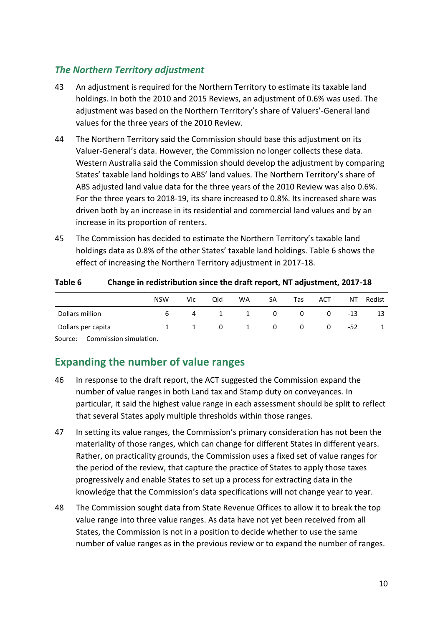## *The Northern Territory adjustment*

- 43 An adjustment is required for the Northern Territory to estimate its taxable land holdings. In both the 2010 and 2015 Reviews, an adjustment of 0.6% was used. The adjustment was based on the Northern Territory's share of Valuers'-General land values for the three years of the 2010 Review.
- 44 The Northern Territory said the Commission should base this adjustment on its Valuer-General's data. However, the Commission no longer collects these data. Western Australia said the Commission should develop the adjustment by comparing States' taxable land holdings to ABS' land values. The Northern Territory's share of ABS adjusted land value data for the three years of the 2010 Review was also 0.6%. For the three years to 2018-19, its share increased to 0.8%. Its increased share was driven both by an increase in its residential and commercial land values and by an increase in its proportion of renters.
- 45 The Commission has decided to estimate the Northern Territory's taxable land holdings data as 0.8% of the other States' taxable land holdings. [Table 6](#page-12-1) shows the effect of increasing the Northern Territory adjustment in 2017-18.

| Table o            | Change in redistribution since the drait report, ive adjustment, 2017-16 |      |     |             |    |     |      |       |        |
|--------------------|--------------------------------------------------------------------------|------|-----|-------------|----|-----|------|-------|--------|
|                    | <b>NSW</b>                                                               | Vic. | Old | WA          | SA | Tas | ACT. | NT    | Redist |
| Dollars million    |                                                                          | 6.   |     | 4 1 1 0 0 0 |    |     |      | $-13$ | 13     |
| Dollars per capita |                                                                          |      |     | 1 0 1 0 0 0 |    |     |      | -52   |        |

<span id="page-12-1"></span>**Table 6 Change in redistribution since the draft report, NT adjustment, 2017-18**

<span id="page-12-0"></span>Source: Commission simulation.

# **Expanding the number of value ranges**

- 46 In response to the draft report, the ACT suggested the Commission expand the number of value ranges in both Land tax and Stamp duty on conveyances. In particular, it said the highest value range in each assessment should be split to reflect that several States apply multiple thresholds within those ranges.
- 47 In setting its value ranges, the Commission's primary consideration has not been the materiality of those ranges, which can change for different States in different years. Rather, on practicality grounds, the Commission uses a fixed set of value ranges for the period of the review, that capture the practice of States to apply those taxes progressively and enable States to set up a process for extracting data in the knowledge that the Commission's data specifications will not change year to year.
- 48 The Commission sought data from State Revenue Offices to allow it to break the top value range into three value ranges. As data have not yet been received from all States, the Commission is not in a position to decide whether to use the same number of value ranges as in the previous review or to expand the number of ranges.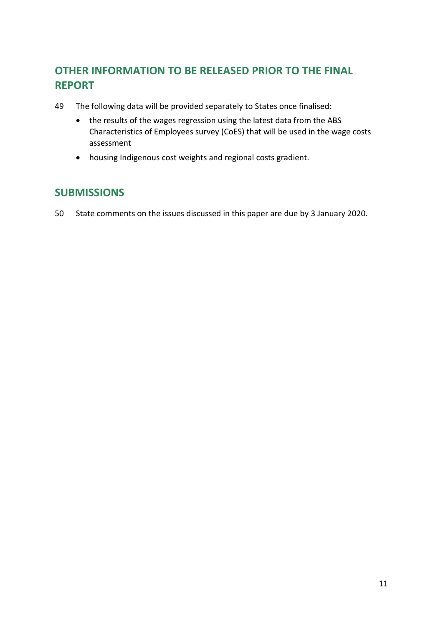# <span id="page-13-0"></span>**OTHER INFORMATION TO BE RELEASED PRIOR TO THE FINAL REPORT**

- 49 The following data will be provided separately to States once finalised:
	- the results of the wages regression using the latest data from the ABS Characteristics of Employees survey (CoES) that will be used in the wage costs assessment
	- housing Indigenous cost weights and regional costs gradient.

# <span id="page-13-1"></span>**SUBMISSIONS**

50 State comments on the issues discussed in this paper are due by 3 January 2020.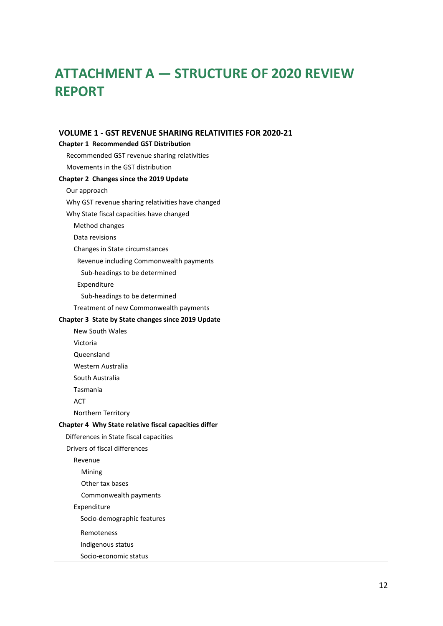# <span id="page-14-0"></span>**ATTACHMENT A — STRUCTURE OF 2020 REVIEW REPORT**

| <b>VOLUME 1 - GST REVENUE SHARING RELATIVITIES FOR 2020-21</b> |
|----------------------------------------------------------------|
| <b>Chapter 1 Recommended GST Distribution</b>                  |
| Recommended GST revenue sharing relativities                   |
| Movements in the GST distribution                              |
| Chapter 2 Changes since the 2019 Update                        |
| Our approach                                                   |
| Why GST revenue sharing relativities have changed              |
| Why State fiscal capacities have changed                       |
| Method changes                                                 |
| Data revisions                                                 |
| Changes in State circumstances                                 |
| Revenue including Commonwealth payments                        |
| Sub-headings to be determined                                  |
| Expenditure                                                    |
| Sub-headings to be determined                                  |
| Treatment of new Commonwealth payments                         |
| Chapter 3 State by State changes since 2019 Update             |
| <b>New South Wales</b>                                         |
| Victoria                                                       |
| Queensland                                                     |
| Western Australia                                              |
| South Australia                                                |
| Tasmania                                                       |
| ACT                                                            |
| Northern Territory                                             |
| Chapter 4 Why State relative fiscal capacities differ          |
| Differences in State fiscal capacities                         |
| Drivers of fiscal differences                                  |
| Revenue                                                        |
| Mining                                                         |
| Other tax bases                                                |
| Commonwealth payments                                          |
| Expenditure                                                    |
| Socio-demographic features                                     |
| Remoteness                                                     |
| Indigenous status                                              |
| Socio-economic status                                          |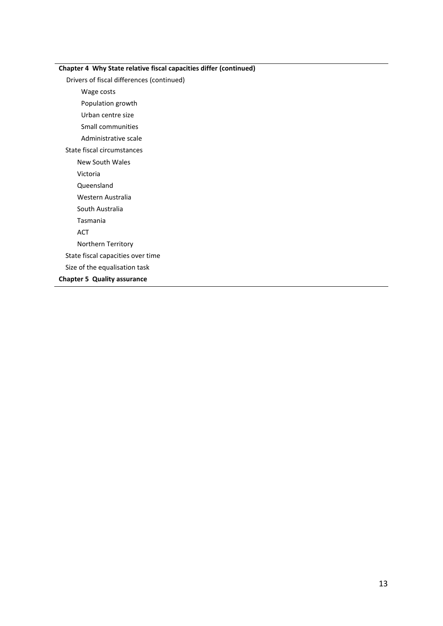| Chapter 4 Why State relative fiscal capacities differ (continued) |
|-------------------------------------------------------------------|
| Drivers of fiscal differences (continued)                         |
| Wage costs                                                        |
| Population growth                                                 |
| Urban centre size                                                 |
| Small communities                                                 |
| Administrative scale                                              |
| State fiscal circumstances                                        |
| New South Wales                                                   |
| Victoria                                                          |
| Queensland                                                        |
| Western Australia                                                 |
| South Australia                                                   |
| Tasmania                                                          |
| <b>ACT</b>                                                        |
| Northern Territory                                                |
| State fiscal capacities over time                                 |
| Size of the equalisation task                                     |
| <b>Chapter 5 Quality assurance</b>                                |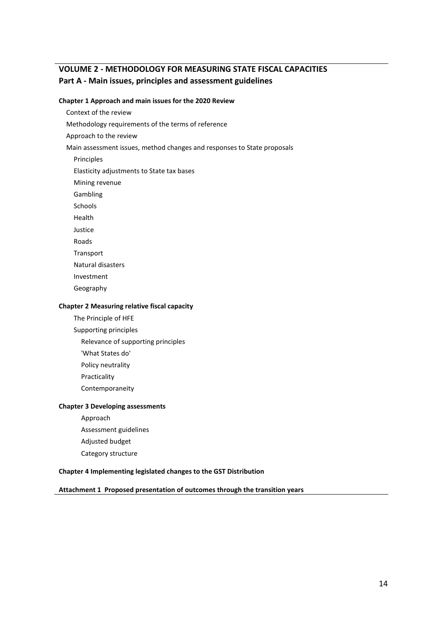## **VOLUME 2 - METHODOLOGY FOR MEASURING STATE FISCAL CAPACITIES Part A - Main issues, principles and assessment guidelines**

#### **Chapter 1 Approach and main issues for the 2020 Review**

Context of the review

Methodology requirements of the terms of reference

Approach to the review

Main assessment issues, method changes and responses to State proposals

Principles

Elasticity adjustments to State tax bases

Mining revenue

Gambling

Schools

Health

Justice

Roads

Transport

Natural disasters

Investment

Geography

#### **Chapter 2 Measuring relative fiscal capacity**

The Principle of HFE

Supporting principles

Relevance of supporting principles

'What States do'

Policy neutrality

Practicality

Contemporaneity

#### **Chapter 3 Developing assessments**

Approach Assessment guidelines Adjusted budget Category structure

**Chapter 4 Implementing legislated changes to the GST Distribution**

**Attachment 1 Proposed presentation of outcomes through the transition years**